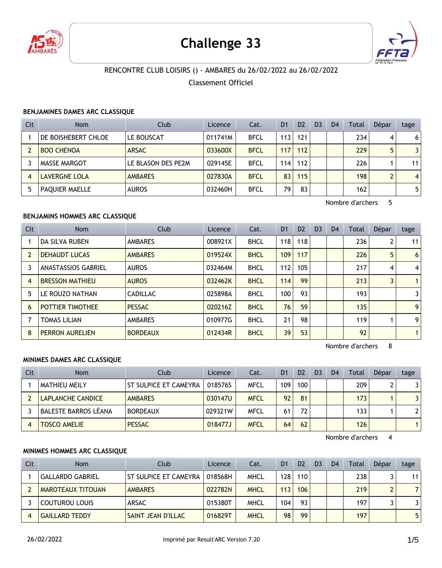

# **Challenge 33**



# RENCONTRE CLUB LOISIRS () - AMBARES du 26/02/2022 au 26/02/2022

Classement Officiel

#### **BENJAMINES DAMES ARC CLASSIQUE**

| Clt            | <b>Nom</b>            | Club               | Licence | Cat.        | D <sub>1</sub> | D <sub>2</sub> | D <sub>3</sub> | D <sub>4</sub> | Total | Dépar | tage           |
|----------------|-----------------------|--------------------|---------|-------------|----------------|----------------|----------------|----------------|-------|-------|----------------|
|                | DE BOISHEBERT CHLOE   | LE BOUSCAT         | 011741M | <b>BFCL</b> | 113            | 121            |                |                | 234   | 4     | 6              |
| $\overline{2}$ | <b>BOO CHENOA</b>     | <b>ARSAC</b>       | 033600X | <b>BFCL</b> | 117            | 112            |                |                | 229   |       | 3              |
|                | <b>MASSE MARGOT</b>   | LE BLASON DES PE2M | 029145E | <b>BFCL</b> | 114            | 112            |                |                | 226   |       | 11             |
| $\overline{4}$ | <b>LAVERGNE LOLA</b>  | <b>AMBARES</b>     | 027830A | <b>BFCL</b> | 83             | 115            |                |                | 198   | ົ     | $\overline{4}$ |
| 5              | <b>PAOUIER MAELLE</b> | <b>AUROS</b>       | 032460H | <b>BFCL</b> | 79             | 83             |                |                | 162   |       | 5              |

Nombre d'archers 5

## **BENJAMINS HOMMES ARC CLASSIQUE**

| Clt            | <b>Nom</b>                 | Club            | Licence | Cat.        | D <sub>1</sub> | D <sub>2</sub> | D <sub>3</sub> | D <sub>4</sub> | Total | Dépar | tage           |
|----------------|----------------------------|-----------------|---------|-------------|----------------|----------------|----------------|----------------|-------|-------|----------------|
|                | DA SILVA RUBEN             | <b>AMBARES</b>  | 008921X | <b>BHCL</b> | 118            | 118            |                |                | 236   |       | 11             |
| $\overline{2}$ | <b>DEHAUDT LUCAS</b>       | <b>AMBARES</b>  | 019524X | <b>BHCL</b> | 109            | 117            |                |                | 226   | 5     | 6              |
| 3              | <b>ANASTASSIOS GABRIEL</b> | <b>AUROS</b>    | 032464M | <b>BHCL</b> | 112            | 105            |                |                | 217   | 4     | $\overline{4}$ |
| $\overline{4}$ | <b>BRESSON MATHIEU</b>     | <b>AUROS</b>    | 032462K | <b>BHCL</b> | 114            | 99             |                |                | 213   |       | $\mathbf{1}$   |
| 5              | LE ROUZO NATHAN            | <b>CADILLAC</b> | 025898A | <b>BHCL</b> | 100            | 93             |                |                | 193   |       | 3              |
| 6              | <b>POTTIER TIMOTHEE</b>    | <b>PESSAC</b>   | 020216Z | <b>BHCL</b> | 76             | 59             |                |                | 135   |       | 9              |
| 7              | <b>TOMAS LILIAN</b>        | <b>AMBARES</b>  | 010977G | <b>BHCL</b> | 21             | 98             |                |                | 119   |       | 9              |
| 8              | <b>PERRON AURELIEN</b>     | <b>BORDEAUX</b> | 012434R | <b>BHCL</b> | 39             | 53             |                |                | 92    |       | $\mathbf{1}$   |

Nombre d'archers 8

#### **MINIMES DAMES ARC CLASSIQUE**

| Clt | <b>Nom</b>                  | Club                  | Licence | Cat.        | D <sub>1</sub> | D <sub>2</sub> | D <sub>3</sub> | D <sub>4</sub> | <b>Total</b> | Dépar | tage |
|-----|-----------------------------|-----------------------|---------|-------------|----------------|----------------|----------------|----------------|--------------|-------|------|
|     | MATHIEU MEILY               | ST SULPICE ET CAMEYRA | 018576S | MFCL        | 109            | 100            |                |                | 209          |       | 3.   |
|     | LAPLANCHE CANDICE           | <b>AMBARES</b>        | 030147U | <b>MFCL</b> | 92             | 81             |                |                | 173          |       | 3    |
|     | <b>BALESTE BARROS LÉANA</b> | <b>BORDEAUX</b>       | 029321W | <b>MFCL</b> | 61             | 72.            |                |                | 133          |       | 2    |
|     | <b>TOSCO AMELIE</b>         | <b>PESSAC</b>         | 018477J | <b>MFCL</b> | 64             | 62             |                |                | 126          |       |      |

Nombre d'archers 4

## **MINIMES HOMMES ARC CLASSIQUE**

| Clt | <b>Nom</b>               | Club                         | Licence | Cat.        | D <sub>1</sub> | D <sub>2</sub> | D <sub>3</sub> | D <sub>4</sub> | Total | Dépar | tage |
|-----|--------------------------|------------------------------|---------|-------------|----------------|----------------|----------------|----------------|-------|-------|------|
|     | <b>GALLARDO GABRIEL</b>  | <b>ST SULPICE ET CAMEYRA</b> | 018568H | MHCL        | 128            | 110            |                |                | 238   |       | 11   |
|     | <b>MAROTEAUX TITOUAN</b> | <b>AMBARES</b>               | 022782N | <b>MHCL</b> | 113            | 106            |                |                | 219   | ∍     |      |
|     | <b>COUTUROU LOUIS</b>    | ARSAC                        | 015380T | MHCL        | 104            | 93             |                |                | 197   |       | 3    |
|     | <b>GAILLARD TEDDY</b>    | SAINT JEAN D'ILLAC           | 016829T | <b>MHCL</b> | 98             | 99             |                |                | 197   |       | 5.   |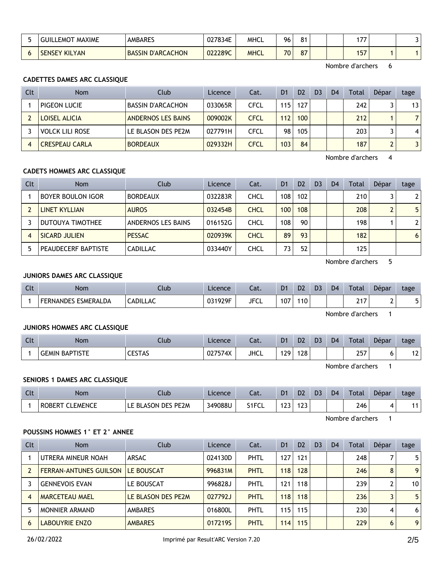| <b>MAXIME</b><br>.iUIL<br>_EMOT | <b>AMBARES</b>           | 027834E | MHCL        | 96 | O <sub>d</sub> |  | דד ו<br>''' |  |
|---------------------------------|--------------------------|---------|-------------|----|----------------|--|-------------|--|
| <b>SENSEY KILYAN</b>            | <b>BASSIN D'ARCACHON</b> | 022289C | <b>MHCL</b> | 70 | $\sim$         |  | 157         |  |

Nombre d'archers 6

## **CADETTES DAMES ARC CLASSIQUE**

| Clt | <b>Nom</b>             | Club                      | Licence | Cat.        | D <sub>1</sub>   | D <sub>2</sub> | D <sub>3</sub> | D <sub>4</sub> | Total | Dépar | tage            |
|-----|------------------------|---------------------------|---------|-------------|------------------|----------------|----------------|----------------|-------|-------|-----------------|
|     | PIGEON LUCIE           | <b>BASSIN D'ARCACHON</b>  | 033065R | CFCL        | 115              | 127            |                |                | 242   |       | 13 <sup>1</sup> |
|     | LOISEL ALICIA          | <b>ANDERNOS LES BAINS</b> | 009002K | <b>CFCL</b> | 112              | 100            |                |                | 212   |       | 7 <sup>1</sup>  |
|     | <b>VOLCK LILI ROSE</b> | LE BLASON DES PE2M        | 027791H | <b>CFCL</b> | 98               | 105            |                |                | 203   |       | 4 <sup>1</sup>  |
|     | <b>CRESPEAU CARLA</b>  | <b>BORDEAUX</b>           | 029332H | CFCL        | 103 <sub>1</sub> | 84             |                |                | 187   |       | 31              |

Nombre d'archers 4

### **CADETS HOMMES ARC CLASSIQUE**

| Clt | <b>Nom</b>               | Club               | Licence | Cat.        | D <sub>1</sub> | D <sub>2</sub> | D <sub>3</sub> | D4 | Total | Dépar | tage           |
|-----|--------------------------|--------------------|---------|-------------|----------------|----------------|----------------|----|-------|-------|----------------|
|     | <b>BOYER BOULON IGOR</b> | <b>BORDEAUX</b>    | 032283R | CHCL        | 108            | 102            |                |    | 210   |       | 2 <sup>1</sup> |
|     | LINET KYLLIAN            | <b>AUROS</b>       | 032454B | <b>CHCL</b> | 100            | 108            |                |    | 208   |       | 5 <sup>1</sup> |
|     | DUTOUYA TIMOTHEE         | ANDERNOS LES BAINS | 016152G | CHCL        | 108            | 90             |                |    | 198   |       | 2 <sup>1</sup> |
| 4   | SICARD JULIEN            | <b>PESSAC</b>      | 020939K | <b>CHCL</b> | 89             | 93             |                |    | 182   |       | 6 <sup>1</sup> |
|     | PEAUDECERF BAPTISTE      | <b>CADILLAC</b>    | 033440Y | CHCL        |                | 52             |                |    | 125   |       |                |

Nombre d'archers 5

#### **JUNIORS DAMES ARC CLASSIQUE**

| Clt | <b>Nom</b>                 | Llub.           | Licence | $\sim$<br>cal. | D <sub>1</sub> | D <sub>2</sub> | D <sub>3</sub> | D <sub>4</sub> | Total | Dépar | tage |
|-----|----------------------------|-----------------|---------|----------------|----------------|----------------|----------------|----------------|-------|-------|------|
|     | <b>FERNANDES ESMERALDA</b> | <b>CADILLAC</b> | 031929F | <b>JFCL</b>    | 107            | 10             |                |                | 247   |       |      |

Nombre d'archers 1

#### **JUNIORS HOMMES ARC CLASSIQUE**

| $\Gamma$<br>uu | <b>Nom</b>                      | Club           | Licence        | $-1$<br>cal. | D <sub>1</sub>               | D <sub>2</sub> | D <sub>3</sub> | D <sub>4</sub> | Total                | Dépar | tage          |
|----------------|---------------------------------|----------------|----------------|--------------|------------------------------|----------------|----------------|----------------|----------------------|-------|---------------|
|                | <b>BAPTISTE</b><br><b>GEMIN</b> | ----<br>CESTAS | 027574X<br>UZ. | <b>JHCL</b>  | 129 <sub>1</sub><br>$\cdots$ | 128            |                |                | 257<br>LJ.<br>$\sim$ | ີ     | $\sim$<br>I 4 |

Nombre d'archers 1

#### **SENIORS 1 DAMES ARC CLASSIQUE**

| C1<br>$\overline{\phantom{a}}$ | Nom                              | Llub.                                   | Licence | $\sim$<br>cal. | D <sub>1</sub> | D <sub>2</sub> | D <sub>3</sub> | D <sub>4</sub> | Total | Dépar | tage |
|--------------------------------|----------------------------------|-----------------------------------------|---------|----------------|----------------|----------------|----------------|----------------|-------|-------|------|
|                                | <b>CLEMENCE</b><br><b>ROBERT</b> | PE <sub>2</sub> M<br>LE BLASON DES<br>ᄔ | 349088U | S1FCL          | $\sim$<br>.    | ر ے            |                |                | 246   |       |      |

Nombre d'archers 1

#### **POUSSINS HOMMES 1° ET 2° ANNEE**

| Clt | <b>Nom</b>                    | Club               | Licence | Cat. | D <sub>1</sub> | D <sub>2</sub> | D <sub>3</sub> | D <sub>4</sub> | Total | Dépar | tage |
|-----|-------------------------------|--------------------|---------|------|----------------|----------------|----------------|----------------|-------|-------|------|
|     | UTRERA MINEUR NOAH            | ARSAC              | 024130D | PHTL | 127            | 121            |                |                | 248   |       | 5.   |
|     | <b>FERRAN-ANTUNES GUILSON</b> | LE BOUSCAT         | 996831M | PHTL | 118            | 128            |                |                | 246   | 8     | 9    |
|     | <b>GENNEVOIS EVAN</b>         | LE BOUSCAT         | 996828J | PHTL | 121            | 118            |                |                | 239   |       | 10   |
|     | <b>MARCETEAU MAEL</b>         | LE BLASON DES PE2M | 027792J | PHTL | 118            | 118            |                |                | 236   | 3     | 5    |
|     | <b>MONNIER ARMAND</b>         | <b>AMBARES</b>     | 016800L | PHTL | 115            | 115            |                |                | 230   | 4     | 6    |
| 6   | <b>LABOUYRIE ENZO</b>         | <b>AMBARES</b>     | 0172195 | PHTL | 114            | 115            |                |                | 229   | 6     | 9    |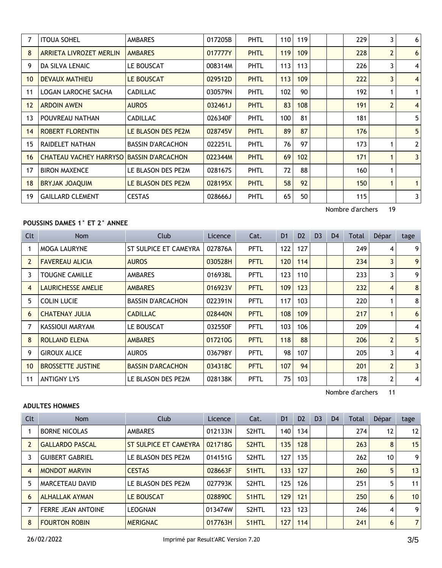| 7               | <b>ITOUA SOHEL</b>                       | <b>AMBARES</b>           | 017205B | <b>PHTL</b> | 110 | 119 |  | 229 | 3              | 6              |
|-----------------|------------------------------------------|--------------------------|---------|-------------|-----|-----|--|-----|----------------|----------------|
| 8               | <b>ARRIETA LIVROZET MERLIN</b>           | <b>AMBARES</b>           | 017777Y | <b>PHTL</b> | 119 | 109 |  | 228 | $\overline{2}$ | 6              |
| 9               | DA SILVA LENAIC                          | LE BOUSCAT               | 008314M | PHTL        | 113 | 113 |  | 226 | 3              | 4              |
| 10 <sup>°</sup> | <b>DEVAUX MATHIEU</b>                    | LE BOUSCAT               | 029512D | <b>PHTL</b> | 113 | 109 |  | 222 | 3              | $\overline{4}$ |
| 11              | LOGAN LAROCHE SACHA                      | <b>CADILLAC</b>          | 030579N | PHTL        | 102 | 90  |  | 192 |                | $\mathbf{1}$   |
| 12              | <b>ARDOIN AWEN</b>                       | <b>AUROS</b>             | 032461J | <b>PHTL</b> | 83  | 108 |  | 191 | $\overline{2}$ | $\overline{4}$ |
| 13              | POUVREAU NATHAN                          | <b>CADILLAC</b>          | 026340F | PHTL        | 100 | 81  |  | 181 |                | 5              |
| 14              | <b>ROBERT FLORENTIN</b>                  | LE BLASON DES PE2M       | 028745V | <b>PHTL</b> | 89  | 87  |  | 176 |                | 5              |
| 15              | RAIDELET NATHAN                          | <b>BASSIN D'ARCACHON</b> | 022251L | PHTL        | 76  | 97  |  | 173 |                | $\overline{2}$ |
| 16              | CHATEAU VACHEY HARRYSO BASSIN D'ARCACHON |                          | 022344M | <b>PHTL</b> | 69  | 102 |  | 171 | 1              | $\overline{3}$ |
| 17              | <b>BIRON MAXENCE</b>                     | LE BLASON DES PE2M       | 028167S | PHTL        | 72  | 88  |  | 160 | 1              |                |
| 18              | BRYJAK JOAQUIM                           | LE BLASON DES PE2M       | 028195X | <b>PHTL</b> | 58  | 92  |  | 150 |                | $\mathbf{1}$   |
| 19              | <b>GAILLARD CLEMENT</b>                  | <b>CESTAS</b>            | 028666J | PHTL        | 65  | 50  |  | 115 |                | 3              |
|                 |                                          |                          |         |             |     |     |  |     |                |                |

Nombre d'archers 19

## **POUSSINS DAMES 1° ET 2° ANNEE**

| <b>Clt</b>     | Nom                       | Club                     | Licence | Cat.        | D <sub>1</sub> | D <sub>2</sub> | D <sub>3</sub> | D <sub>4</sub> | Total | Dépar          | tage           |
|----------------|---------------------------|--------------------------|---------|-------------|----------------|----------------|----------------|----------------|-------|----------------|----------------|
|                | <b>MOGA LAURYNE</b>       | ST SULPICE ET CAMEYRA    | 027876A | <b>PFTL</b> | 122            | 127            |                |                | 249   | 4              | 9 <sup>1</sup> |
| $\overline{2}$ | <b>FAVEREAU ALICIA</b>    | <b>AUROS</b>             | 030528H | <b>PFTL</b> | 120            | 114            |                |                | 234   | 3              | 9 <sup>1</sup> |
| 3              | <b>TOUGNE CAMILLE</b>     | <b>AMBARES</b>           | 016938L | <b>PFTL</b> | 123            | 110            |                |                | 233   | 3              | 9 <sup>1</sup> |
| $\overline{4}$ | <b>LAURICHESSE AMELIE</b> | <b>AMBARES</b>           | 016923V | <b>PFTL</b> | 109            | 123            |                |                | 232   | $\overline{4}$ | 8              |
| 5              | <b>COLIN LUCIE</b>        | <b>BASSIN D'ARCACHON</b> | 022391N | <b>PFTL</b> | 117            | 103            |                |                | 220   |                | 8              |
| 6              | <b>CHATENAY JULIA</b>     | <b>CADILLAC</b>          | 028440N | <b>PFTL</b> | 108            | 109            |                |                | 217   |                | 6              |
| 7              | KASSIOUI MARYAM           | LE BOUSCAT               | 032550F | <b>PFTL</b> | 103            | 106            |                |                | 209   |                | 4              |
| 8              | <b>ROLLAND ELENA</b>      | <b>AMBARES</b>           | 017210G | <b>PFTL</b> | 118            | 88             |                |                | 206   | $\overline{2}$ | 5              |
| 9              | <b>GIROUX ALICE</b>       | <b>AUROS</b>             | 036798Y | <b>PFTL</b> | 98             | 107            |                |                | 205   | 3              | $\vert$        |
| 10             | <b>BROSSETTE JUSTINE</b>  | <b>BASSIN D'ARCACHON</b> | 034318C | <b>PFTL</b> | 107            | 94             |                |                | 201   | $\overline{2}$ | 3              |
| 11             | <b>ANTIGNY LYS</b>        | LE BLASON DES PE2M       | 028138K | PFTL        | 75             | 103            |                |                | 178   | $\mathbf{2}$   | 4 <sup>1</sup> |

Nombre d'archers 11

## **ADULTES HOMMES**

| Clt            | <b>Nom</b>                | Club                  | Licence | Cat.               | D <sub>1</sub> | D <sub>2</sub> | D <sub>3</sub> | D <sub>4</sub> | Total | Dépar | tage           |
|----------------|---------------------------|-----------------------|---------|--------------------|----------------|----------------|----------------|----------------|-------|-------|----------------|
|                | <b>BORNE NICOLAS</b>      | <b>AMBARES</b>        | 012133N | S2HTL              | 140            | 134            |                |                | 274   | 12    | 12             |
| $\overline{2}$ | <b>GALLARDO PASCAL</b>    | ST SULPICE ET CAMEYRA | 021718G | S <sub>2</sub> HTL | 135            | 128            |                |                | 263   | 8     | 15             |
|                | <b>GUIBERT GABRIEL</b>    | LE BLASON DES PE2M    | 014151G | S2HTL              | 127            | 135            |                |                | 262   | 10    | 9              |
| $\overline{4}$ | <b>MONDOT MARVIN</b>      | <b>CESTAS</b>         | 028663F | S <sub>1</sub> HTL | 133            | 127            |                |                | 260   | 5     | 13             |
| 5              | MARCETEAU DAVID           | LE BLASON DES PE2M    | 027793K | S2HTL              | 125            | 126            |                |                | 251   | 5     | 11             |
| 6              | <b>ALHALLAK AYMAN</b>     | LE BOUSCAT            | 028890C | S <sub>1</sub> HTL | 129            | 121            |                |                | 250   | 6     | 10             |
|                | <b>FERRE JEAN ANTOINE</b> | LEOGNAN               | 013474W | S2HTL              | 123            | 123            |                |                | 246   | 4     | 9              |
| 8              | <b>FOURTON ROBIN</b>      | <b>MERIGNAC</b>       | 017763H | S <sub>1</sub> HTL | 127            | 114            |                |                | 241   | 6     | $\overline{7}$ |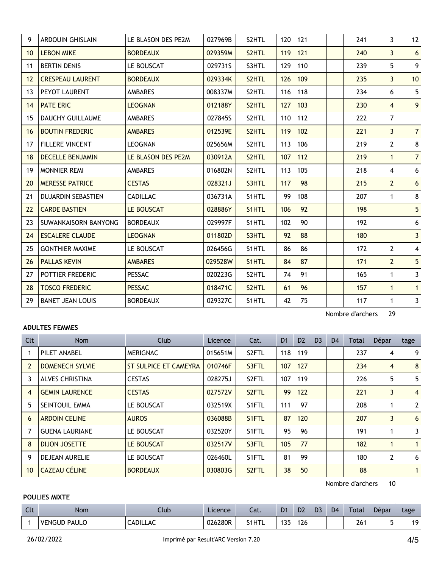| 9               | <b>ARDOUIN GHISLAIN</b>   | LE BLASON DES PE2M | 027969B | S2HTL              | 120 | 121 |                  | 241 | 3                       | 12                      |
|-----------------|---------------------------|--------------------|---------|--------------------|-----|-----|------------------|-----|-------------------------|-------------------------|
| 10 <sup>°</sup> | <b>LEBON MIKE</b>         | <b>BORDEAUX</b>    | 029359M | S2HTL              | 119 | 121 |                  | 240 | $\overline{\mathbf{3}}$ | 6 <sup>1</sup>          |
| 11              | <b>BERTIN DENIS</b>       | LE BOUSCAT         | 029731S | S3HTL              | 129 | 110 |                  | 239 | 5                       | 9 <sup>1</sup>          |
| 12              | <b>CRESPEAU LAURENT</b>   | <b>BORDEAUX</b>    | 029334K | S2HTL              | 126 | 109 |                  | 235 | $\overline{3}$          | 10                      |
| 13              | PEYOT LAURENT             | <b>AMBARES</b>     | 008337M | S2HTL              | 116 | 118 |                  | 234 | 6                       | 5 <sup>1</sup>          |
| 14              | <b>PATE ERIC</b>          | <b>LEOGNAN</b>     | 012188Y | S <sub>2</sub> HTL | 127 | 103 |                  | 230 | $\overline{4}$          | 9 <sup>1</sup>          |
| 15              | <b>DAUCHY GUILLAUME</b>   | <b>AMBARES</b>     | 027845S | S2HTL              | 110 | 112 |                  | 222 | $\overline{7}$          |                         |
| 16              | <b>BOUTIN FREDERIC</b>    | <b>AMBARES</b>     | 012539E | S2HTL              | 119 | 102 |                  | 221 | $\overline{3}$          | 7 <sup>1</sup>          |
| 17              | <b>FILLERE VINCENT</b>    | <b>LEOGNAN</b>     | 025656M | S2HTL              | 113 | 106 |                  | 219 | $\overline{2}$          | 8 <sup>1</sup>          |
| 18              | <b>DECELLE BENJAMIN</b>   | LE BLASON DES PE2M | 030912A | S2HTL              | 107 | 112 |                  | 219 | $\mathbf{1}$            | 7 <sup>1</sup>          |
| 19              | <b>MONNIER REMI</b>       | <b>AMBARES</b>     | 016802N | S2HTL              | 113 | 105 |                  | 218 | 4                       | 6 <sup>1</sup>          |
| 20              | <b>MERESSE PATRICE</b>    | <b>CESTAS</b>      | 028321J | S3HTL              | 117 | 98  |                  | 215 | $\overline{2}$          | 6 <sup>1</sup>          |
| 21              | <b>DUJARDIN SEBASTIEN</b> | <b>CADILLAC</b>    | 036731A | S1HTL              | 99  | 108 |                  | 207 | 1                       | 8 <sup>1</sup>          |
| 22              | <b>CARDE BASTIEN</b>      | LE BOUSCAT         | 028886Y | S1HTL              | 106 | 92  |                  | 198 |                         | 5 <sup>1</sup>          |
| 23              | SUWANKAISORN BANYONG      | <b>BORDEAUX</b>    | 029997F | S1HTL              | 102 | 90  |                  | 192 |                         | 6 <sup>1</sup>          |
| 24              | <b>ESCALERE CLAUDE</b>    | <b>LEOGNAN</b>     | 011802D | S3HTL              | 92  | 88  |                  | 180 |                         | 3 <sup>1</sup>          |
| 25              | <b>GONTHIER MAXIME</b>    | LE BOUSCAT         | 026456G | S1HTL              | 86  | 86  |                  | 172 | $\overline{2}$          | $\vert$                 |
| 26              | <b>PALLAS KEVIN</b>       | <b>AMBARES</b>     | 029528W | S1HTL              | 84  | 87  |                  | 171 | $\overline{2}$          | 5 <sup>1</sup>          |
| 27              | POTTIER FREDERIC          | <b>PESSAC</b>      | 020223G | S2HTL              | 74  | 91  |                  | 165 | 1                       | 3 <sup>1</sup>          |
| 28              | <b>TOSCO FREDERIC</b>     | <b>PESSAC</b>      | 018471C | S2HTL              | 61  | 96  |                  | 157 | $\mathbf{1}$            | 1                       |
| 29              | <b>BANET JEAN LOUIS</b>   | <b>BORDEAUX</b>    | 029327C | S1HTL              | 42  | 75  |                  | 117 | $\mathbf 1$             | $\overline{\mathbf{3}}$ |
|                 |                           |                    |         |                    |     |     | Nombre d'archers |     | 29                      |                         |

#### **ADULTES FEMMES**

| <b>Clt</b> | <b>Nom</b>             | Club                  | Licence | Cat.               | D <sub>1</sub> | D <sub>2</sub> | D <sub>3</sub> | D <sub>4</sub> | Total | Dépar                 | tage           |
|------------|------------------------|-----------------------|---------|--------------------|----------------|----------------|----------------|----------------|-------|-----------------------|----------------|
|            | PILET ANABEL           | <b>MERIGNAC</b>       | 015651M | S <sub>2</sub> FTL | 118            | 119            |                |                | 237   |                       | 9              |
| 2          | <b>DOMENECH SYLVIE</b> | ST SULPICE ET CAMEYRA | 010746F | S3FTL              | 107            | 127            |                |                | 234   | 4                     | 8              |
| 3          | <b>ALVES CHRISTINA</b> | <b>CESTAS</b>         | 028275J | S <sub>2</sub> FTL | 107            | 119            |                |                | 226   | 5.                    | 5              |
| 4          | <b>GEMIN LAURENCE</b>  | <b>CESTAS</b>         | 027572V | S <sub>2</sub> FTL | 99             | 122            |                |                | 221   | 3                     | $\overline{4}$ |
| 5          | SEINTOUIL EMMA         | LE BOUSCAT            | 032519X | S1FTL              | 111            | 97             |                |                | 208   |                       | 2              |
| 6          | <b>ARDOIN CELINE</b>   | <b>AUROS</b>          | 036088B | S1FTL              | 87             | 120            |                |                | 207   | 3                     | 6              |
|            | <b>GUENA LAURIANE</b>  | LE BOUSCAT            | 032520Y | S1FTL              | 95             | 96             |                |                | 191   |                       | 3              |
| 8          | <b>DIJON JOSETTE</b>   | LE BOUSCAT            | 032517V | S3FTL              | 105            | 77             |                |                | 182   |                       |                |
| 9          | <b>DEJEAN AURELIE</b>  | LE BOUSCAT            | 026460L | S1FTL              | 81             | 99             |                |                | 180   | $\mathbf{2}^{\prime}$ | 6              |
| 10         | <b>CAZEAU CÉLINE</b>   | <b>BORDEAUX</b>       | 030803G | S2FTL              | 38             | 50             |                |                | 88    |                       |                |

Nombre d'archers 10

# **POULIES MIXTE**

| $\sim$<br><b>LIL</b> | <b>Nom</b>             | Club            | Licence | - 1<br>cal. | D <sub>1</sub> | D <sub>2</sub>    | D3 | D <sub>4</sub> | <b>Total</b> | Dépar | tage |
|----------------------|------------------------|-----------------|---------|-------------|----------------|-------------------|----|----------------|--------------|-------|------|
|                      | PAULO<br><b>VENGUD</b> | <b>CADILLAC</b> | 026280R | S1HTL       | つに<br>. J J    | $\lambda$<br>l Z6 |    |                | 26<br>$\sim$ |       | 19   |